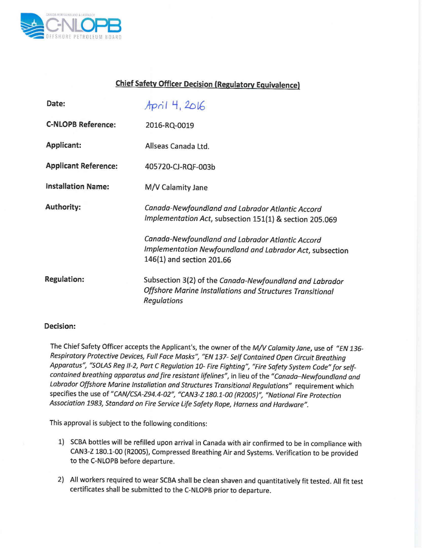

## **Chief Safety Officer Decision (Regulatory Equivalence)**

| Date:                       | April 4, 2016                                                                                                                              |
|-----------------------------|--------------------------------------------------------------------------------------------------------------------------------------------|
| <b>C-NLOPB Reference:</b>   | 2016-RQ-0019                                                                                                                               |
| Applicant:                  | Allseas Canada Ltd.                                                                                                                        |
| <b>Applicant Reference:</b> | 405720-CJ-RQF-003b                                                                                                                         |
| <b>Installation Name:</b>   | M/V Calamity Jane                                                                                                                          |
| Authority:                  | Canada-Newfoundland and Labrador Atlantic Accord<br>Implementation Act, subsection 151(1) & section 205.069                                |
|                             | Canada-Newfoundland and Labrador Atlantic Accord<br>Implementation Newfoundland and Labrador Act, subsection<br>146(1) and section 201.66  |
| <b>Regulation:</b>          | Subsection 3(2) of the Canada-Newfoundland and Labrador<br>Offshore Marine Installations and Structures Transitional<br><b>Regulations</b> |

## **Decision:**

The Chief Safety Officer accepts the Applicant's, the owner of the *M/V Calamity Jane,* use of *"EN 136- Respiratory Protective Devices, Full Face Masks", "EN* 137- *Self Contained Open Circuit Breathing Apparatus", "SOLASReg 1/-2,Part* C *Regulation 10- Fire Fighting", "Fire Safety System Code" for selfcontained breathing apparatus and fire resistant lifelines",* in lieu of the *"Canada-Newfoundland and Labrador Offshore Marine Installation and Structures Transitional Regulations"* requirement which specifies the use of *"CAN/CSA-Z94.4-02", "CAN3-Z 180.1-00 (R2005)", "National Fire Protection Association* 1983, *Standard on Fire Service Life Safety Rope, Harness and Hardware".*

This approval is subject to the following conditions:

- 1) SCBA bottles will be refilled upon arrival in Canada with air confirmed to be in compliance with CAN3-Z 180.1-00 (R200S), Compressed Breathing Air and Systems. Verification to be provided to the C-NLOPB before departure.
- 2) All workers required to wear SCBA shall be clean shaven and quantitatively fit tested. All fit test certificates shall be submitted to the C-NLOPB prior to departure.